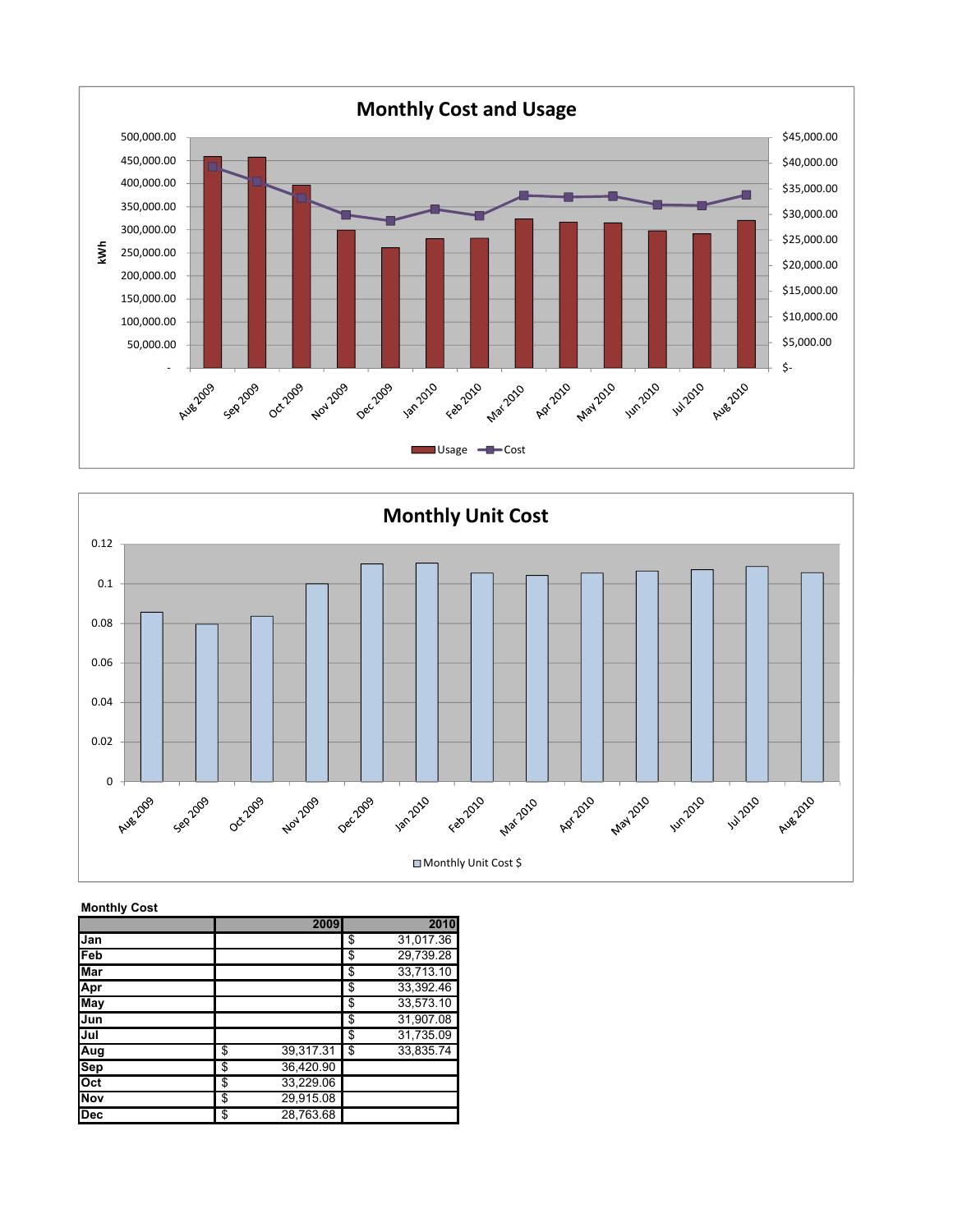



## Monthly Cost

|            | 2009            | 2010            |
|------------|-----------------|-----------------|
| Jan        |                 | \$<br>31,017.36 |
| Feb        |                 | \$<br>29,739.28 |
| <b>Mar</b> |                 | \$<br>33,713.10 |
| Apr        |                 | \$<br>33,392.46 |
| May        |                 | \$<br>33,573.10 |
| Jun        |                 | \$<br>31,907.08 |
| Jul        |                 | \$<br>31,735.09 |
| Aug        | \$<br>39,317.31 | \$<br>33,835.74 |
| <b>Sep</b> | \$<br>36,420.90 |                 |
| Oct        | \$<br>33,229.06 |                 |
| <b>Nov</b> | \$<br>29,915.08 |                 |
| <b>Dec</b> | \$<br>28,763.68 |                 |